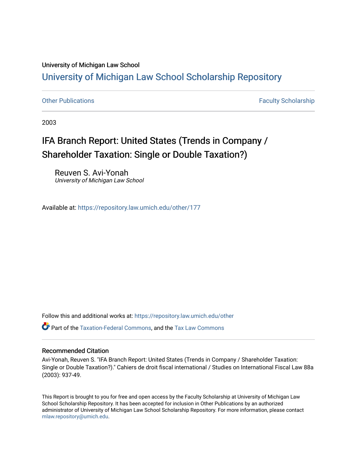# University of Michigan Law School [University of Michigan Law School Scholarship Repository](https://repository.law.umich.edu/)

[Other Publications](https://repository.law.umich.edu/other) **Faculty Scholarship Faculty Scholarship Faculty Scholarship** 

2003

# IFA Branch Report: United States (Trends in Company / Shareholder Taxation: Single or Double Taxation?)

Reuven S. Avi-Yonah University of Michigan Law School

Available at: <https://repository.law.umich.edu/other/177>

Follow this and additional works at: [https://repository.law.umich.edu/other](https://repository.law.umich.edu/other?utm_source=repository.law.umich.edu%2Fother%2F177&utm_medium=PDF&utm_campaign=PDFCoverPages)

Part of the [Taxation-Federal Commons](http://network.bepress.com/hgg/discipline/881?utm_source=repository.law.umich.edu%2Fother%2F177&utm_medium=PDF&utm_campaign=PDFCoverPages), and the [Tax Law Commons](http://network.bepress.com/hgg/discipline/898?utm_source=repository.law.umich.edu%2Fother%2F177&utm_medium=PDF&utm_campaign=PDFCoverPages) 

# Recommended Citation

Avi-Yonah, Reuven S. "IFA Branch Report: United States (Trends in Company / Shareholder Taxation: Single or Double Taxation?)." Cahiers de droit fiscal international / Studies on International Fiscal Law 88a (2003): 937-49.

This Report is brought to you for free and open access by the Faculty Scholarship at University of Michigan Law School Scholarship Repository. It has been accepted for inclusion in Other Publications by an authorized administrator of University of Michigan Law School Scholarship Repository. For more information, please contact [mlaw.repository@umich.edu.](mailto:mlaw.repository@umich.edu)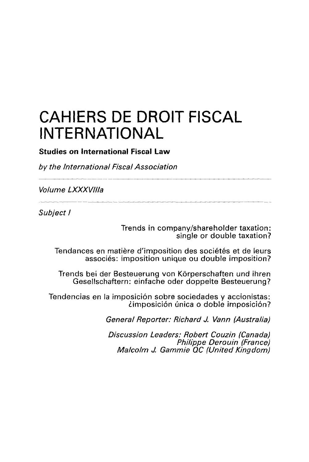# **CAHIERS DE DROIT FISCAL INTERNATIONAL**

**Studies on International Fiscal Law** 

by the International Fiscal Association

Volume **LXXXV/1/a** 

Subject I

Trends in company/shareholder taxation: single or double taxation?

Tendances en matière d'imposition des sociétés et de leurs associés: imposition unique ou double imposition?

Trends bei der Besteuerung von Körperschaften und ihren Gesellschaftern: einfache oder doppelte Besteuerung?

Tendencias en la imposición sobre sociedades y accionistas: limposici6n {mica o doble imposici6n?

General Reporter: Richard J. Vann (Australia)

Discussion Leaders: Robert Couzin (Canada) Philippe Derouin (France) Malcolm J. Gammie QC (United Kingdom)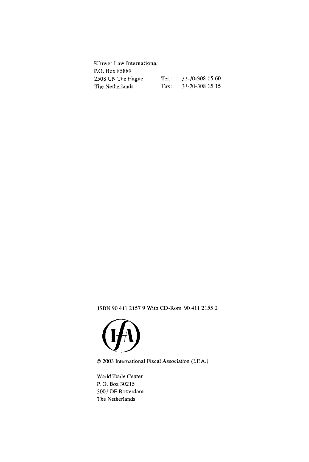| Kluwer Law International |      |                 |
|--------------------------|------|-----------------|
| P.O. Box 85889           |      |                 |
| 2508 CN The Hague        | TeL. | 31-70-308 15 60 |
| The Netherlands          | Fax: | 31-70-308 15 15 |

ISBN 90 411 2157 9 With CD-Rom 90 411 2155 2



© 2003 International Fiscal Association (I.EA.)

World Trade Center P. 0. Box 30215 3001 DE Rotterdam The Netherlands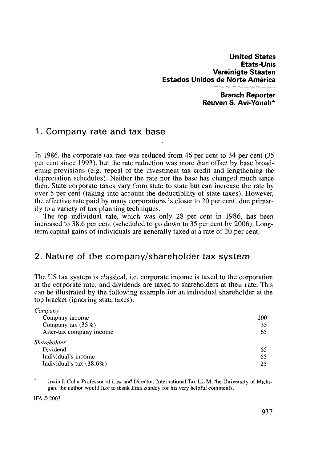**Branch Reporter Reuven S. Avi-Yonah\*** 

# **1. Company rate and tax base**

In 1986, the corporate tax rate was reduced from 46 per cent to 34 per cent (35 per cent since 1993 ), but the rate reduction was more than offset by base broadening provisions (e.g. repeal of the investment tax credit and lengthening the depreciation schedules). Neither the rate nor the base has changed much since then. State corporate taxes vary from state to state but can increase the rate by over 5 per cent (taking into account the deductibility of state taxes). However, the effective rate paid by many corporations is closer to 20 per cent, due primarily to a variety of tax planning techniques.

The top individual rate, which was only 28 per cent in 1986, has been increased to 38.6 per cent (scheduled to go down to 35 per cent by 2006). Longterm capital gains of individuals are generally taxed at a rate of 20 per cent.

# **2. Nature of the company/shareholder tax system**

The US tax system is classical, i.e. corporate income is taxed to the corporation at the corporate rate, and dividends are taxed to shareholders at their rate. This can be illustrated by the following example for an individual shareholder at the top bracket (ignoring state taxes):

| Company                    |     |
|----------------------------|-----|
| Company income             | 100 |
| Company tax (35%)          | 35  |
| After-tax company income   | 65  |
| Shareholder                |     |
| Dividend                   | 65  |
| Individual's income        | 65  |
| Individual's tax $(38.6%)$ | 25  |

Irwin I. Cohn Professor of Law and Director, International Tax LL M, the University of Michigan; the author would like to thank Emil Sunley for his very helpful comments.

IFA©2003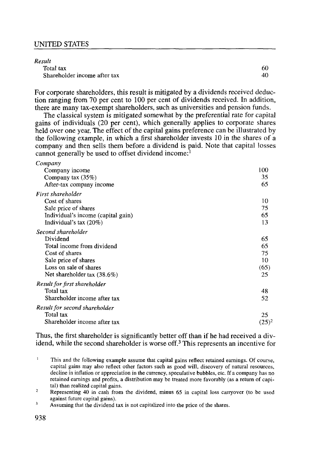#### *Result*

| Total tax                    | 60 |
|------------------------------|----|
| Shareholder income after tax | 40 |

For corporate shareholders, this result is mitigated by a dividends received deduction ranging from 70 per cent to 100 per cent of dividends received. In addition, there are many tax-exempt shareholders, such as universities and pension funds.

The classical system is mitigated somewhat by the preferential rate for capital gains of individuals (20 per cent), which generally applies to corporate shares held over one year. The effect of the capital gains preference can be illustrated by the following example, in which a first shareholder invests 10 in the shares of a company and then sells them before a dividend is paid. Note that capital losses cannot generally be used to offset dividend income: $<sup>1</sup>$ </sup>

| Company                            |          |
|------------------------------------|----------|
| Company income                     | 100      |
| Company tax (35%)                  | 35       |
| After-tax company income           | 65       |
| First shareholder                  |          |
| Cost of shares                     | 10       |
| Sale price of shares               | 75       |
| Individual's income (capital gain) | 65       |
| Individual's tax $(20\%)$          | 13       |
| Second shareholder                 |          |
| Dividend                           | 65       |
| Total income from dividend         | 65       |
| Cost of shares                     | 75       |
| Sale price of shares               | 10       |
| Loss on sale of shares             | (65)     |
| Net shareholder tax $(38.6%)$      | 25       |
| Result for first shareholder       |          |
| Total tax                          | 48       |
| Shareholder income after tax       | 52       |
| Result for second shareholder      |          |
| Total tax                          | 25       |
| Shareholder income after tax       | $(25)^2$ |
|                                    |          |

Thus, the first shareholder is significantly better off than if he had received a dividend, while the second shareholder is worse off.<sup>3</sup>This represents an incentive for

 $\mathcal{I}$ Representing 40 in cash from the dividend, minus 65 in capital loss carryover (to be used against future capital gains).

 $\overline{\mathbf{3}}$ Assuming that the dividend tax is not capitalized into the price of the shares.

 $\mathbf{1}$ This and the following example assume that capital gains reflect retained earnings. Of course, capital gains may also reflect other factors such as good will, discovery of natural resources, decline in inflation or appreciation in the currency, speculative bubbles, etc. If a company has no retained earnings and profits, a distribution may be treated more favorably (as a return of capital) than realized capital gains.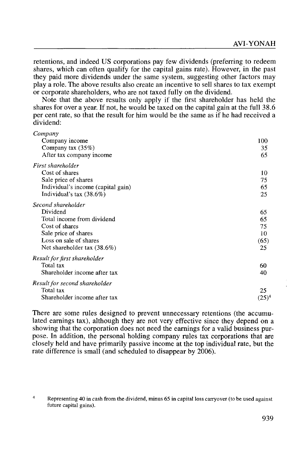retentions, and indeed US corporations pay few dividends (preferring to redeem shares, which can often qualify for the capital gains rate). However, in the past they paid more dividends under the same system, suggesting other factors may play a role. The above results also create an incentive to sell shares to tax exempt or corporate shareholders, who are not taxed fully on the dividend.

Note that the above results only apply if the first shareholder has held the shares for over a year. If not, he would be taxed on the capital gain at the full 38.6 per cent rate, so that the result for him would be the same as if he had received a dividend:

| Company                            |          |
|------------------------------------|----------|
| Company income                     | 100      |
| Company tax $(35%)$                | 35       |
| After tax company income           | 65       |
| First shareholder                  |          |
| Cost of shares                     | 10       |
| Sale price of shares               | 75       |
| Individual's income (capital gain) | 65       |
| Individual's tax $(38.6%)$         | 25       |
| Second shareholder                 |          |
| Dividend                           | 65       |
| Total income from dividend         | 65       |
| Cost of shares                     | 75       |
| Sale price of shares               | 10       |
| Loss on sale of shares             | (65)     |
| Net shareholder tax $(38.6\%)$     | 25       |
| Result for first shareholder       |          |
| Total tax                          | 60       |
| Shareholder income after tax       | 40       |
| Result for second shareholder      |          |
| Total tax                          | 25       |
| Shareholder income after tax       | $(25)^4$ |

There are some rules designed to prevent unnecessary retentions (the accumulated earnings tax), although they are not very effective since they depend on a showing that the corporation does not need the earnings for a valid business purpose. In addition, the personal holding company rules tax corporations that are closely held and have primarily passive income at the top individual rate, but the rate difference is small (and scheduled to disappear by 2006).

 $\overline{4}$ Representing 40 in cash from the dividend, minus 65 in capital loss carryover (to be used against future capital gains).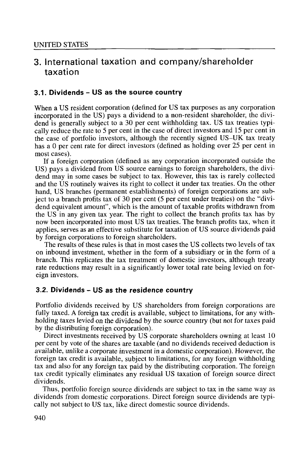# **3. International taxation and company/shareholder taxation**

### **3.1. Dividends - US as the source country**

When a US resident corporation (defined for US tax purposes as any corporation incorporated in the US) pays a dividend to a non-resident shareholder, the dividend is generally subject to a 30 per cent withholding tax. US tax treaties typically reduce the rate to 5 per cent in the case of direct investors and 15 per cent in the case of portfolio investors, although the recently signed US-UK tax treaty has a O per cent rate for direct investors (defined as holding over 25 per cent in most cases).

If a foreign corporation ( defined as any corporation incorporated outside the US) pays a dividend from US source earnings to foreign shareholders, the dividend may in some cases be subject to tax. However, this tax is rarely collected and the US routinely waives its right to collect it under tax treaties. On the other hand, US branches (permanent establishments) of foreign corporations are subject to a branch profits tax of 30 per cent (5 per cent under treaties) on the "dividend equivalent amount", which is the amount of taxable profits withdrawn from the US in any given tax year. The right to collect the branch profits tax has by now been incorporated into most US tax treaties. The branch profits tax, when it applies, serves as an effective substitute for taxation of US source dividends paid by foreign corporations to foreign shareholders.

The results of these rules is that in most cases the US collects two levels of tax on inbound investment, whether in the form of a subsidiary or in the form of a branch. This replicates the tax treatment of domestic investors, although treaty rate reductions may result in a significantly lower total rate being levied on foreign investors.

### **3.2. Dividends - US as the residence country**

Portfolio dividends received by US shareholders from foreign corporations are fully taxed. A foreign tax credit is available, subject to limitations, for any withholding taxes levied on the dividend by the source country (but not for taxes paid by the distributing foreign corporation).

Direct investments received by US corporate shareholders owning at least 10 per cent by vote of the shares are taxable (and no dividends received deduction is available, unlike a corporate investment in a domestic corporation). However, the foreign tax credit is available, subject to limitations, for any foreign withholding tax and also for any foreign tax paid by the distributing corporation. The foreign tax credit typically eliminates any residual US taxation of foreign source direct dividends.

Thus, portfolio foreign source dividends are subject to tax in the same way as dividends from domestic corporations. Direct foreign source dividends are typically not subject to US tax, like direct domestic source dividends.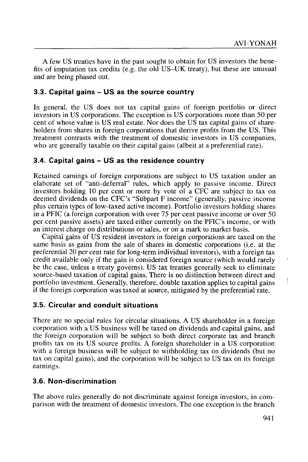A few US treaties have in the past sought to obtain for US investors the benefits of imputation tax credits (e.g. the old US-UK treaty), but these are unusual and are being phased out.

# **3.3. Capital gains - US as the source country**

In general, the US does not tax capital gains of foreign portfolio or direct investors in US corporations. The exception is US corporations more than 50 per cent of whose value is US real estate. Nor does the US tax capital gains of shareholders from shares in foreign corporations that derive profits from the US. This treatment contrasts with the treatment of domestic investors in US companies, who are generally taxable on their capital gains (albeit at a preferential rate).

# **3.4. Capital gains - US as the residence country**

Retained earnings of foreign corporations are subject to US taxation under an elaborate set of "anti-deferral" rules, which apply to passive income. Direct investors holding 10 per cent or more by vote of a CFC are subject to tax on deemed dividends on the CFC's "Subpart F income" (generally, passive income plus certain types of low-taxed active income). Portfolio investors holding shares in a PFIC (a foreign corporation with over 75 per cent passive income or over 50 per cent passive assets) are taxed either currently on the PFIC's income, or with an interest charge on distributions or sales, or on a mark to market basis.

Capital gains of US resident investors in foreign corporations are taxed on the same basis as gains from the sale of shares in domestic corporations (i.e. at the preferential 20 per cent rate for long-term individual investors), with a foreign tax credit available only if the gain is considered foreign source (which would rarely be the case, unless a treaty governs). US tax treaties generally seek to eliminate source-based taxation of capital gains. There is no distinction between direct and portfolio investment. Generally, therefore, double taxation applies to capital gains if the foreign corporation was taxed at source, mitigated by the preferential rate.

### **3.5. Circular and conduit situations**

There are no special rules for circular situations. A US shareholder in a foreign corporation with a US business will be taxed on dividends and capital gains, and the foreign corporation will be subject to both direct corporate tax and branch profits tax on its US source profits. A foreign shareholder in a US corporation with a foreign business will be subject to withholding tax on dividends (but no tax on capital gains), and the corporation will be subject to US tax on its foreign earnings.

### **3.6. Non-discrimination**

The above rules generally do not discriminate against foreign investors, in comparison with the treatment of domestic investors. The one exception is the branch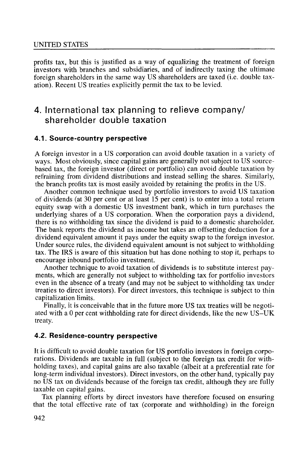profits tax, but this is justified as a way of equalizing the treatment of foreign investors with branches and subsidiaries, and of indirectly taxing the ultimate foreign shareholders in the same way US shareholders are taxed (i.e. double taxation). Recent US treaties explicitly permit the tax to be levied.

# **4. International tax planning to relieve company/ shareholder double taxation**

#### **4.1. Source-country perspective**

A foreign investor in a US corporation can avoid double taxation in a variety of ways. Most obviously, since capital gains are generally not subject to US sourcebased tax, the foreign investor ( direct or portfolio) can avoid double taxation by refraining from dividend distributions and instead selling the shares. Similarly, the branch profits tax is most easily avoided by retaining the profits in the US.

Another common technique used by portfolio investors to avoid US taxation of dividends (at 30 per cent or at least 15 per cent) is to enter into a total return equity swap with a domestic US investment bank, which in turn purchases the underlying shares of a US corporation. When the corporation pays a dividend, there is no withholding tax since the dividend is paid to a domestic shareholder. The bank reports the dividend as income but takes an offsetting deduction for a dividend equivalent amount it pays under the equity swap to the foreign investor. Under source rules, the dividend equivalent amount is not subject to withholding tax. The IRS is aware of this situation but has done nothing to stop it, perhaps to encourage inbound portfolio investment.

Another technique to avoid taxation of dividends is to substitute interest payments, which are generally not subject to withholding tax for portfolio investors even in the absence of a treaty (and may not be subject to withholding tax under treaties to direct investors). For direct investors, this technique is subject to thin capitalization limits.

Finally, it is conceivable that in the future more US tax treaties will be negotiated with a O per cent withholding rate for direct dividends, like the new US-UK treaty.

#### **4.2. Residence-country perspective**

It is difficult to avoid double taxation for US portfolio investors in foreign corporations. Dividends are taxable in full (subject to the foreign tax credit for withholding taxes), and capital gains are also taxable (albeit at a preferential rate for long-term individual investors). Direct investors, on the other hand, typically pay no US tax on dividends because of the foreign tax credit, although they are fully taxable on capital gains.

Tax planning efforts by direct investors have therefore focused on ensuring that the total effective rate of tax (corporate and withholding) in the foreign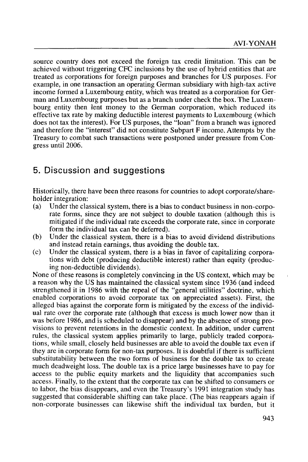source country does not exceed the foreign tax credit limitation. This can be achieved without triggering CFC inclusions by the use of hybrid entities that are treated as corporations for foreign purposes and branches for US purposes. For example, in one transaction an operating German subsidiary with high-tax active income formed a Luxembourg entity, which was treated as a corporation for German and Luxembourg purposes but as a branch under check the box. The Luxembourg entity then lent money to the German corporation, which reduced its effective tax rate by making deductible interest payments to Luxembourg (which does not tax the interest). For US purposes, the "loan" from a branch was ignored and therefore the "interest" did not constitute Subpart F income. Attempts by the Treasury to combat such transactions were postponed under pressure from Congress until 2006.

# **5. Discussion and suggestions**

Historically, there have been three reasons for countries to adopt corporate/shareholder integration:

- (a) Under the classical system, there is a bias to conduct business in non-corporate forms, since they are not subject to double taxation (although this is mitigated if the individual rate exceeds the corporate rate, since in corporate form the individual tax can be deferred).
- (b) Under the classical system, there is a bias to avoid dividend distributions and instead retain earnings, thus avoiding the double tax.
- (c) Under the classical system, there is a bias in favor of capitalizing corporations with debt (producing deductible interest) rather than equity (producing non-deductible dividends).

None of these reasons is completely convincing in the US context, which may be a reason why the US has maintained the classical system since 1936 (and indeed strengthened it in 1986 with the repeal of the "general utilities" doctrine, which enabled corporations to avoid corporate tax on appreciated assets). First, the alleged bias against the corporate form is mitigated by the excess of the individual rate over the corporate rate (although that excess is much lower now than it was before 1986, and is scheduled to disappear) and by the absence of strong provisions to prevent retentions in the domestic context. In addition, under current rules, the classical system applies primarily to large, publicly traded corporations, while small, closely held businesses are able to avoid the double tax even if they are in corporate form for non-tax purposes. It is doubtful if there is sufficient substitutability between the two forms of business for the double tax to create much deadweight loss. The double tax is a price large businesses have to pay for access to the public equity markets and the liquidity that accompanies such access. Finally, to the extent that the corporate tax can be shifted to consumers or to labor, the bias disappears, and even the Treasury's 1991 integration study has suggested that considerable shifting can take place. (The bias reappears again if non-corporate businesses can likewise shift the individual tax burden, but it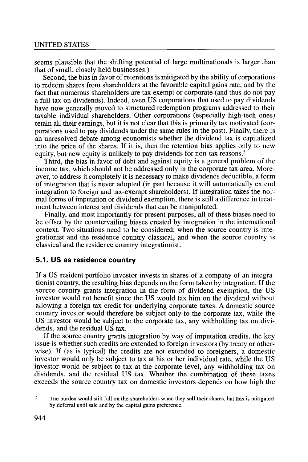seems plausible that the shifting potential of large multinationals is larger than that of small, closely held businesses.)

Second, the bias in favor of retentions is mitigated by the ability of corporations to redeem shares from shareholders at the favorable capital gains rate, and by the fact that numerous shareholders are tax exempt or corporate (and thus do not pay a full tax on dividends). Indeed, even US corporations that used to pay dividends have now generally moved to structured redemption programs addressed to their taxable individual shareholders. Other corporations (especially high-tech ones) retain all their earnings, but it is not clear that this is primarily tax motivated (corporations used to pay dividends under the same rules in the past). Finally, there is an unresolved debate among economists whether the dividend tax is capitalized into the price of the shares. If it is, then the retention bias applies only to new equity, but new equity is unlikely to pay dividends for non-tax reasons.<sup>5</sup>

Third, the bias in favor of debt and against equity is a general problem of the income tax, which should not be addressed only in the corporate tax area. Moreover, to address it completely it is necessary to make dividends deductible, a form of integration that is never adopted (in part because it will automatically extend integration to foreign and tax-exempt shareholders). If integration takes the normal forms of imputation or dividend exemption, there is still a difference in treatment between interest and dividends that can be manipulated.

Finally, and most importantly for present purposes, all of these biases need to be offset by the countervailing biases created by integration in the international context. Two situations need to be considered: when the source country is integrationist and the residence country classical, and when the source country is classical and the residence country integrationist.

#### **5.1. US as residence country**

If a US resident portfolio investor invests in shares of a company of an integrationist country, the resulting bias depends on the form taken by integration. If the source country grants integration in the form of dividend exemption, the US investor would not benefit since the US would tax him on the dividend without allowing a foreign tax credit for underlying corporate taxes. A domestic source country investor would therefore be subject only to the corporate tax, while the US investor would be subject to the corporate tax, any withholding tax on dividends, and the residual US tax.

If the source country grants integration by way of imputation credits, the key issue is whether such credits are extended to foreign investors (by treaty or otherwise). If (as is typical) the credits are not extended to foreigners, a domestic investor would only be subject to tax at his or her individual rate, while the US investor would be subject to tax at the corporate level, any withholding tax on dividends, and the residual US tax. Whether the combination of these taxes exceeds the source country tax on domestic investors depends on how high the

<sup>5</sup> The burden would still fall on the shareholders when they sell their shares, but this is mitigated by deferral until sale and by the capital gains preference.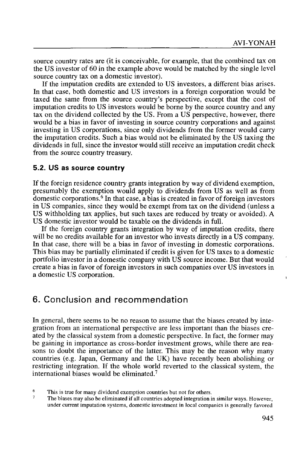source country rates are (it is conceivable, for example, that the combined tax on the US investor of 60 in the example above would be matched by the single level source country tax on a domestic investor).

If the imputation credits are extended to US investors, a different bias arises. In that case, both domestic and US investors in a foreign corporation would be taxed the same from the source country's perspective, except that the cost of imputation credits to US investors would be borne by the source country and any tax on the dividend collected by the US. From a US perspective, however, there would be a bias in favor of investing in source country corporations and against investing in US corporations, since only dividends from the former would carry the imputation credits. Such a bias would not be eliminated by the US taxing the dividends in full, since the investor would still receive an imputation credit check from the source country treasury.

#### **5.2. US as source country**

If the foreign residence country grants integration by way of dividend exemption, presumably the exemption would apply to dividends from US as well as from domestic corporations.<sup>6</sup> In that case, a bias is created in favor of foreign investors in US companies, since they would be exempt from tax on the dividend (unless a US withholding tax applies, but such taxes are reduced by treaty or avoided). A US domestic investor would be taxable on the dividends in full.

If the foreign country grants integration by way of imputation credits, there will be no credits available for an investor who invests directly in a US company. In that case, there will be a bias in favor of investing in domestic corporations. This bias may be partially eliminated if credit is given for US taxes to a domestic portfolio investor in a domestic company with US source income. But that would create a bias in favor of foreign investors in such companies over US investors in a domestic US corporation.

# **6. Conclusion and recommendation**

In general, there seems to be no reason to assume that the biases created by integration from an international perspective are less important than the biases created by the classical system from a domestic perspective. In fact, the former may be gaining in importance as cross-border investment grows, while there are reasons to doubt the importance of the latter. This may be the reason why many countries (e.g. Japan, Germany and the UK) have recently been abolishing or restricting integration. If the whole world reverted to the classical system, the international biases would be eliminated.<sup>7</sup>

 $\overline{7}$ The biases may also be eliminated if all countries adopted integration in similar ways. However, under current imputation systems, domestic investment in local companies is generally favored  $\mathbf{I}$ 

<sup>6</sup> This is true for many dividend exemption countries but not for others.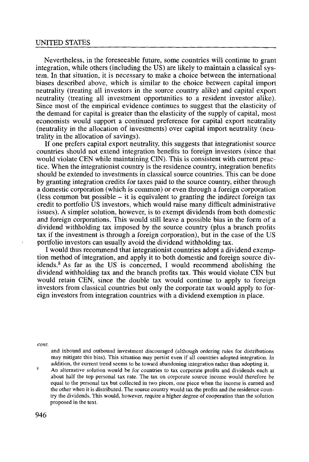Nevertheless, in the foreseeable future, some countries will continue to grant integration, while others (including the US) are likely to maintain a classical system. In that situation, it is necessary to make a choice between the international biases described above, which is similar to the choice between capital import neutrality (treating all investors in the source country alike) and capital export neutrality (treating all investment opportunities to a resident investor alike). Since most of the empirical evidence continues to suggest that the elasticity of the demand for capital is greater than the elasticity of the supply of capital, most economists would support a continued preference for capital export neutrality (neutrality in the allocation of investments) over capital import neutrality (neutrality in the allocation of savings).

If one prefers capital export neutrality, this suggests that integrationist source countries should not extend integration benefits to foreign investors (since that would violate CEN while maintaining CIN). This is consistent with current practice. When the integrationist country is the residence country, integration benefits should be extended to investments in classical source countries. This can be done by granting integration credits for taxes paid to the source country, either through a domestic corporation (which is common) or even through a foreign corporation (less common but possible  $-$  it is equivalent to granting the indirect foreign tax credit to portfolio US investors, which would raise many difficult administrative issues). A simpler solution, however, is to exempt dividends from both domestic and foreign corporations. This would still leave a possible bias in the form of a dividend withholding tax imposed by the source country (plus a branch profits tax if the investment is through a foreign corporation), but in the case of the US portfolio investors can usually avoid the dividend withholding tax.

I would thus recommend that integrationist countries adopt a dividend exemption method of integration, and apply it to both domestic and foreign source dividends. $8$  As far as the US is concerned, I would recommend abolishing the dividend withholding tax and the branch profits tax. This would violate CIN but would retain CEN, since the double tax would continue to apply to foreign investors from classical countries but only the corporate tax would apply to foreign investors from integration countries with a dividend exemption in place.

*cont.* 

 $\mathcal{L}_{\mathcal{A}}$ 

and inbound and outbound investment discouraged (although ordering rules for distributions may mitigate this bias). This situation may persist even if all countries adopted integration. In addition, the current trend seems to be toward abandoning integration rather than adopting it.

 $\mathbf{8}$ An alternative solution would be for countries to tax corporate profits and dividends each at about half the top personal tax rate. The tax on corporate source income would therefore be equal to the personal tax but collected in two pieces, one piece when the income is earned and the other when it is distributed. The source country would tax the profits and the residence country the dividends. This would, however, require a higher degree of cooperation than the solution proposed in the text.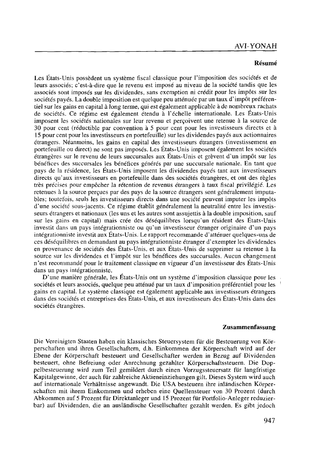#### **Resume**

Les États-Unis possèdent un système fiscal classique pour l'imposition des sociétés et de leurs associés; c'est-à-dire que le revenu est imposé au niveau de la société tandis que les associés sont imposés sur les dividendes, sans exemption ni crédit pour les impôts sur les sociétés payés. La double imposition est quelque peu atténuée par un taux d'impôt préférentiel sur les gains en capital a long terme, qui est egalement applicable a de nombreux rachats de sociétés. Ce régime est également étendu à l'échelle internationale. Les États-Unis imposent les sociétés nationales sur leur revenu et percoivent une retenue à la source de 30 pour cent (reductible par convention a 5 pour cent pour les investisseurs directs et a 15 pour cent pour les investisseurs en portefeuille) sur les dividendes payes aux actionnaires etrangers. Neanmoins, !es gains en capital des investisseurs etrangers (investissement en portefeuille ou direct) ne sont pas imposes. Les Etats-Unis imposent egalement les societes etrangeres sur le revenu de leurs succursales aux Etats-Unis et grevent d'un imp6t sur les benefices des succursales les benefices generes par une succursale nationale. En tant que pays de la residence, Jes Etats-Unis imposent Jes dividendes payes tant aux investisseurs directs qu'aux investisseurs en portefeuille dans des sociétés étrangères, et ont des règles très précises pour empêcher la rétention de revenus étrangers à taux fiscal privilégié. Les retenues à la source percues par des pays de la source étrangers sont généralement imputables; toutefois, seuls Jes investisseurs directs dans une societe peuvent imputer les imp6ts d'une société sous-jacents. Ce régime établit généralement la neutralité entre les investisseurs etrangers et nationaux (les uns et les autres sont assujettis a la double imposition, sauf sur les gains en capital) mais cree des desequilibres lorsqu'un resident des Etats-Unis investit dans un pays integrationniste ou qu'un investisseur etranger originaire d'un pays integrationniste investit aux Etats-Unis. Le rapport recommande d'attenuer quelques-uns de ces desequilibres en demandant au pays integrationniste etranger d'exempter Jes dividendes en provenance de societes des Etats-Unis, et aux Etats-Unis de supprimer sa retenue a la source sur les dividendes et l'impôt sur les bénéfices des succursales. Aucun changement n'est recommande pour le traitement classique en vigueur d'un investisseur des Etats-Unis dans un pays intégrationniste.

D'une manière générale, les États-Unis ont un système d'imposition classique pour les sociétés et leurs associés, quelque peu atténué par un taux d'imposition préférentiel pour les gains en capital. Le systeme classique est egalement applicable aux investisseurs etrangers dans des sociétés et entreprises des États-Unis, et aux investisseurs des États-Unis dans des sociétés étrangères.

#### **Zusammenfassung**

Die Vereinigten Staaten haben ein klassisches Steuersystem fiir die Besteuerung von Korperschaften und ihren Gesellschaftern, d.h. Einkommen der Korperschaft wird auf der Ebene der Korperschaft besteuert und Gesellschafter werden in Bezug auf Dividenden besteuert, ohne Befreiung oder Anrechnung gezahlter Korperschaftssteuern. Die Doppelbesteuerung wird zum Teil gemildert durch einen Vorzugssteuersatz für langfristige Kapitalgewinne, der auch fiir zahlreiche Aktieneinziehungen gilt. Dieses System wird auch auf internationale Verhältnisse angewandt. Die USA besteuern ihre inländischen Körperschaften mit ihrem Einkommen und erheben eine Quellensteuer von 30 Prozent (<lurch Abkommen auf 5 Prozent fiir Direktanleger und 15 Prozent fiir Portfolio-Anleger reduzierbar) auf Dividenden, die an auslandische Gesellschafter gezahlt werden. Es gibt jedoch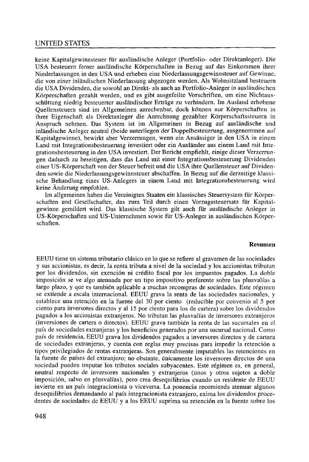keine Kapitalgewinnsteuer ftir auslandische Anleger (Portfolio- oder Direktanleger). Die USA besteuern ferner ausliindische Korperschaften in Bezug auf das Einkommen ihrer Niederlassungen in den USA und erheben eine Niederlassungsgewinnsteuer auf Gewinne. die von einer inliindischen Niederlassung abgezogen werden. Als Wohnsitzland besteuern die USA Dividenden, die sowohl an Direkt- als auch an Portfolio-Anleger in ausliindischen Korperschaften gezahlt werden, und es gibt ausgefeilte Vorschriften, um eine Nichtausschüttung niedrig besteuerter ausländischer Erträge zu verhindern. Im Ausland erhobene Quellensteuern sind im Allgemeinen anrechenbar, doch können nur Körperschaften in ihrer Eigenschaft als Direktanleger die Anrechnung gezahlter Körperschaftssteuern in Anspruch nehmen. Das System ist im Allgemeinen in Bezug auf ausländische und inliindische Anleger neutral (beide unterliegen der Doppelbesteuerung, ausgenommen auf Kapitalgewinne), bewirkt aber Verzerrungen, wenn ein Ansässiger in den USA in einem Land mit Integrationsbesteuerung investiert oder ein Auslander aus einem Land mit Integrationsbesteuerung in den USA investiert. Der Bericht empfiehlt, einige dieser Verzerrungen dadurch zu beseitigen, dass das Land mit einer lntegrationsbesteuerung Dividenden einer US-Korperschaft von der Steuer befreit und die USA ihre Quellensteuer auf Dividenden sowie die Niederlassungsgewinnsteuer abschaffen. In Bezug auf die derzeitige klassische Behandlung eines US-Anlegers in einem Land mit Integrationsbesteuerung wird keine Anderung empfohlen.

Im allgemeinen haben die Vereinigten Staaten ein klassisches Steuersystem für Körperschaften und Gesellschafter, das zum Teil durch einen Vorzugssteuersatz für Kapitalgewinne gemildert wird. Das klassische System gilt auch für ausländische Anleger in US-Körperschaften und US-Unternehmen sowie für US-Anleger in ausländischen Körperschaften.

#### **Resumen**

EEUU tiene un sistema tributario clasico en lo que se refiere al gravamen de las sociedades y sus accionistas, es decir, la renta tributa a nivel de la sociedad y los accionistas tributan por los dividendos, sin exenci6n ni credito fiscal por los impuestos pagados. La doble imposici6n se ve algo atenuada por un tipo impositivo preferente sobre las plusvalfas a largo plazo, y que es tambien aplicable a muchas recompras de sociedades. Este regimen se extiende a escala internacional. EEUU grava la renta de las sociedades nacionales, y establece una retenci6n en la fuente de! 30 por ciento (reducible por convenio al 5 por ciento para inversores directos y al 15 por ciento para los de cartera) sobre los dividendos pagados a los accionistas extranjeros. No tributan las plusvalias de inversores extranjeros (inversiones de cartera o directos). EEUU grava tambien la renta de las sucursales en el pafs de sociedades extranjeras y los beneficios generados por una sucursal nacional. Como pais de residencia, EEUU grava los dividendos pagados a inversores directos y de cartera de sociedades extranjeras, y cuenta con reglas muy precisas para impedir la retención a tipos privilegiados de rentas extranjeras. Son generalmente imputables las retenciones en la fuente de países del extranjero; no obstante, únicamente los inversores directos de una sociedad pueden imputar los tributos sociales subyacentes. Este regimen es, en general, neutral respecto de inversores nacionales y extranjeros (unos y otros sujetos a doble imposici6n, salvo en plusvalias), pero crea desequilibrios cuando un residente de EEUU invierte en un pais integracionista o viceversa. La ponencia recomienda atenuar algunos desequilibrios demandando al pafs integracionista extranjero, exima los dividendos procedentes de sociedades de EEUU y a los EEUU suprima su retención en la fuente sobre los